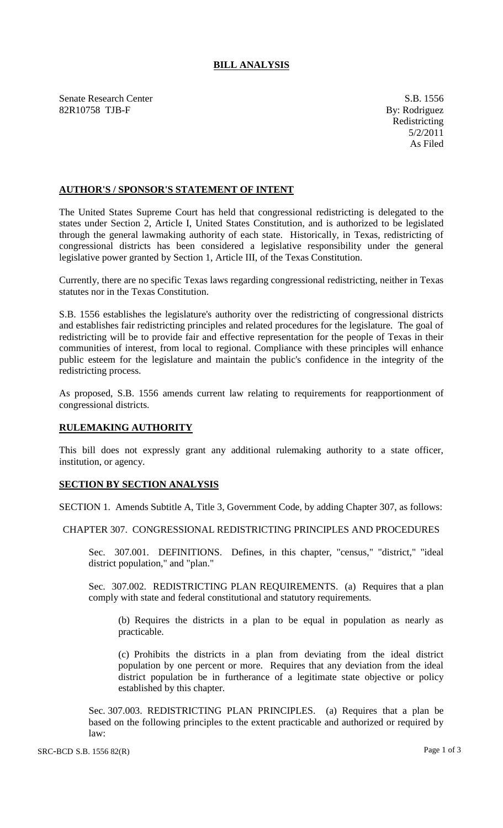# **BILL ANALYSIS**

Senate Research Center S.B. 1556 82R10758 TJB-F By: Rodriguez

Redistricting 5/2/2011 As Filed

## **AUTHOR'S / SPONSOR'S STATEMENT OF INTENT**

The United States Supreme Court has held that congressional redistricting is delegated to the states under Section 2, Article I, United States Constitution, and is authorized to be legislated through the general lawmaking authority of each state. Historically, in Texas, redistricting of congressional districts has been considered a legislative responsibility under the general legislative power granted by Section 1, Article III, of the Texas Constitution.

Currently, there are no specific Texas laws regarding congressional redistricting, neither in Texas statutes nor in the Texas Constitution.

S.B. 1556 establishes the legislature's authority over the redistricting of congressional districts and establishes fair redistricting principles and related procedures for the legislature. The goal of redistricting will be to provide fair and effective representation for the people of Texas in their communities of interest, from local to regional. Compliance with these principles will enhance public esteem for the legislature and maintain the public's confidence in the integrity of the redistricting process.

As proposed, S.B. 1556 amends current law relating to requirements for reapportionment of congressional districts.

### **RULEMAKING AUTHORITY**

This bill does not expressly grant any additional rulemaking authority to a state officer, institution, or agency.

### **SECTION BY SECTION ANALYSIS**

SECTION 1. Amends Subtitle A, Title 3, Government Code, by adding Chapter 307, as follows:

### CHAPTER 307. CONGRESSIONAL REDISTRICTING PRINCIPLES AND PROCEDURES

Sec. 307.001. DEFINITIONS. Defines, in this chapter, "census," "district," "ideal district population," and "plan."

Sec. 307.002. REDISTRICTING PLAN REQUIREMENTS. (a) Requires that a plan comply with state and federal constitutional and statutory requirements.

(b) Requires the districts in a plan to be equal in population as nearly as practicable.

(c) Prohibits the districts in a plan from deviating from the ideal district population by one percent or more. Requires that any deviation from the ideal district population be in furtherance of a legitimate state objective or policy established by this chapter.

Sec. 307.003. REDISTRICTING PLAN PRINCIPLES. (a) Requires that a plan be based on the following principles to the extent practicable and authorized or required by law: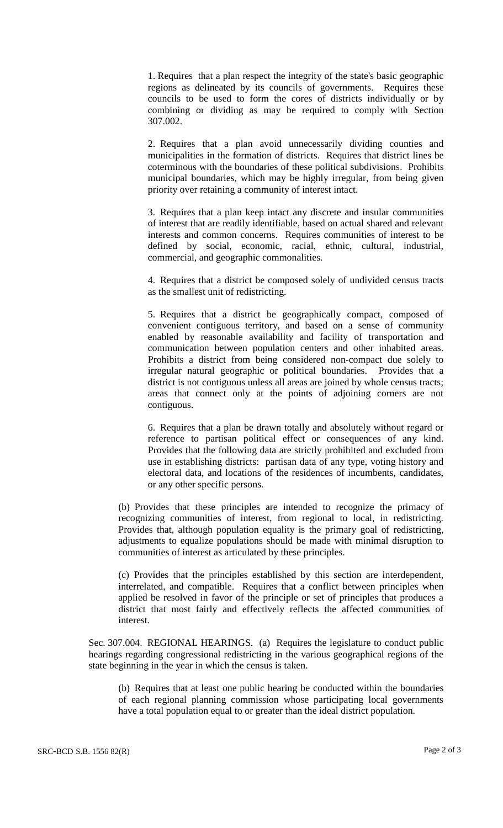1. Requires that a plan respect the integrity of the state's basic geographic regions as delineated by its councils of governments. Requires these councils to be used to form the cores of districts individually or by combining or dividing as may be required to comply with Section 307.002.

2. Requires that a plan avoid unnecessarily dividing counties and municipalities in the formation of districts. Requires that district lines be coterminous with the boundaries of these political subdivisions. Prohibits municipal boundaries, which may be highly irregular, from being given priority over retaining a community of interest intact.

3. Requires that a plan keep intact any discrete and insular communities of interest that are readily identifiable, based on actual shared and relevant interests and common concerns. Requires communities of interest to be defined by social, economic, racial, ethnic, cultural, industrial, commercial, and geographic commonalities.

4. Requires that a district be composed solely of undivided census tracts as the smallest unit of redistricting.

5. Requires that a district be geographically compact, composed of convenient contiguous territory, and based on a sense of community enabled by reasonable availability and facility of transportation and communication between population centers and other inhabited areas. Prohibits a district from being considered non-compact due solely to irregular natural geographic or political boundaries. Provides that a district is not contiguous unless all areas are joined by whole census tracts; areas that connect only at the points of adjoining corners are not contiguous.

6. Requires that a plan be drawn totally and absolutely without regard or reference to partisan political effect or consequences of any kind. Provides that the following data are strictly prohibited and excluded from use in establishing districts: partisan data of any type, voting history and electoral data, and locations of the residences of incumbents, candidates, or any other specific persons.

(b) Provides that these principles are intended to recognize the primacy of recognizing communities of interest, from regional to local, in redistricting. Provides that, although population equality is the primary goal of redistricting, adjustments to equalize populations should be made with minimal disruption to communities of interest as articulated by these principles.

(c) Provides that the principles established by this section are interdependent, interrelated, and compatible. Requires that a conflict between principles when applied be resolved in favor of the principle or set of principles that produces a district that most fairly and effectively reflects the affected communities of interest.

Sec. 307.004. REGIONAL HEARINGS. (a) Requires the legislature to conduct public hearings regarding congressional redistricting in the various geographical regions of the state beginning in the year in which the census is taken.

(b) Requires that at least one public hearing be conducted within the boundaries of each regional planning commission whose participating local governments have a total population equal to or greater than the ideal district population.